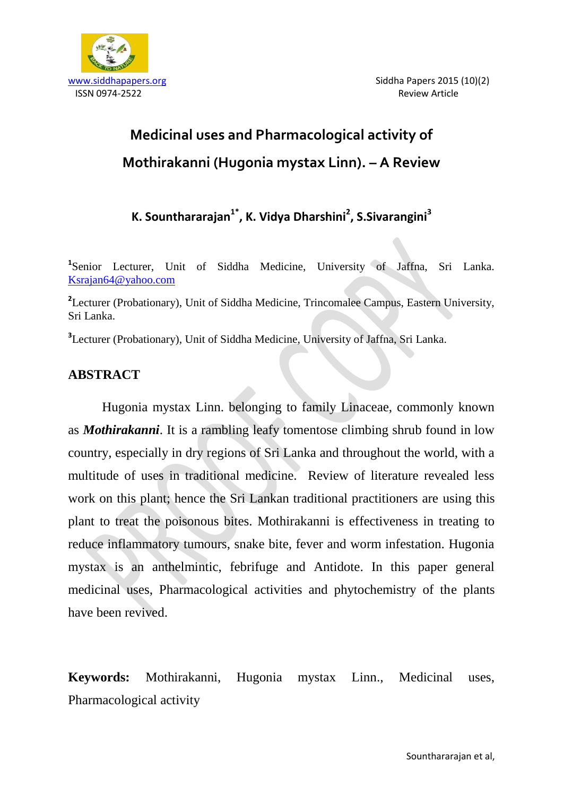

# **Medicinal uses and Pharmacological activity of Mothirakanni (Hugonia mystax Linn). – A Review**

**K. Sounthararajan1\*, K. Vidya Dharshini<sup>2</sup> , S.Sivarangini<sup>3</sup>**

<sup>1</sup>Senior Lecturer, Unit of Siddha Medicine, University of Jaffna, Sri Lanka. [Ksrajan64@yahoo.com](mailto:Ksrajan64@yahoo.com)

<sup>2</sup>Lecturer (Probationary), Unit of Siddha Medicine, Trincomalee Campus, Eastern University, Sri Lanka.

**3** Lecturer (Probationary), Unit of Siddha Medicine, University of Jaffna, Sri Lanka.

# **ABSTRACT**

Hugonia mystax Linn. belonging to family Linaceae, commonly known as *Mothirakanni*. It is a rambling leafy tomentose climbing shrub found in low country, especially in dry regions of Sri Lanka and throughout the world, with a multitude of uses in traditional medicine. Review of literature revealed less work on this plant; hence the Sri Lankan traditional practitioners are using this plant to treat the poisonous bites. Mothirakanni is effectiveness in treating to reduce inflammatory tumours, snake bite, fever and worm infestation. Hugonia mystax is an anthelmintic, febrifuge and Antidote. In this paper general medicinal uses, Pharmacological activities and phytochemistry of the plants have been revived.

**Keywords:** Mothirakanni, Hugonia mystax Linn., Medicinal uses, Pharmacological activity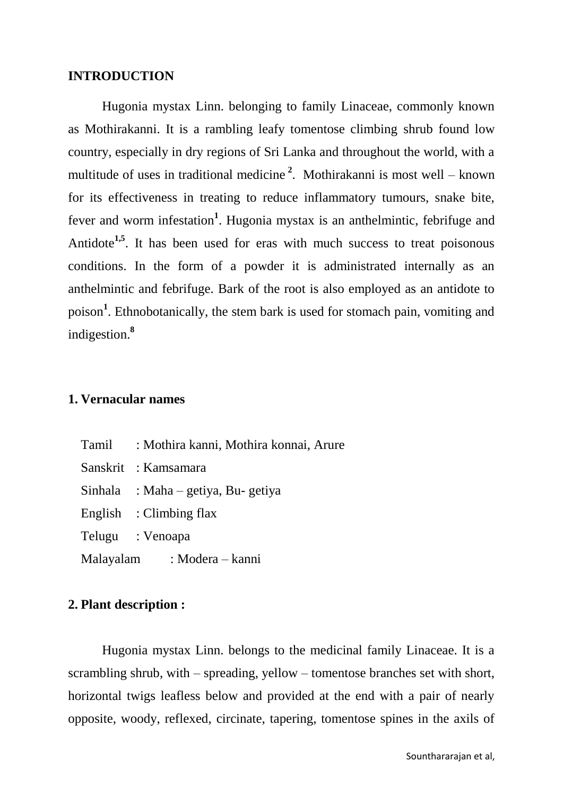#### **INTRODUCTION**

Hugonia mystax Linn. belonging to family Linaceae, commonly known as Mothirakanni. It is a rambling leafy tomentose climbing shrub found low country, especially in dry regions of Sri Lanka and throughout the world, with a multitude of uses in traditional medicine **<sup>2</sup>** . Mothirakanni is most well – known for its effectiveness in treating to reduce inflammatory tumours, snake bite, fever and worm infestation<sup>1</sup>. Hugonia mystax is an anthelmintic, febrifuge and Antidote<sup>1,5</sup>. It has been used for eras with much success to treat poisonous conditions. In the form of a powder it is administrated internally as an anthelmintic and febrifuge. Bark of the root is also employed as an antidote to poison**<sup>1</sup>** . Ethnobotanically, the stem bark is used for stomach pain, vomiting and indigestion.**<sup>8</sup>**

# **1. Vernacular names**

| <b>Tamil</b> | : Mothira kanni, Mothira konnai, Arure |
|--------------|----------------------------------------|
|              | Sanskrit : Kamsamara                   |
|              | Sinhala : Maha – getiya, Bu- getiya    |
|              | English : Climbing flax                |
|              | Telugu : Venoapa                       |
|              | Malayalam : Modera – kanni             |

## **2. Plant description :**

Hugonia mystax Linn. belongs to the medicinal family Linaceae. It is a scrambling shrub, with – spreading, yellow – tomentose branches set with short, horizontal twigs leafless below and provided at the end with a pair of nearly opposite, woody, reflexed, circinate, tapering, tomentose spines in the axils of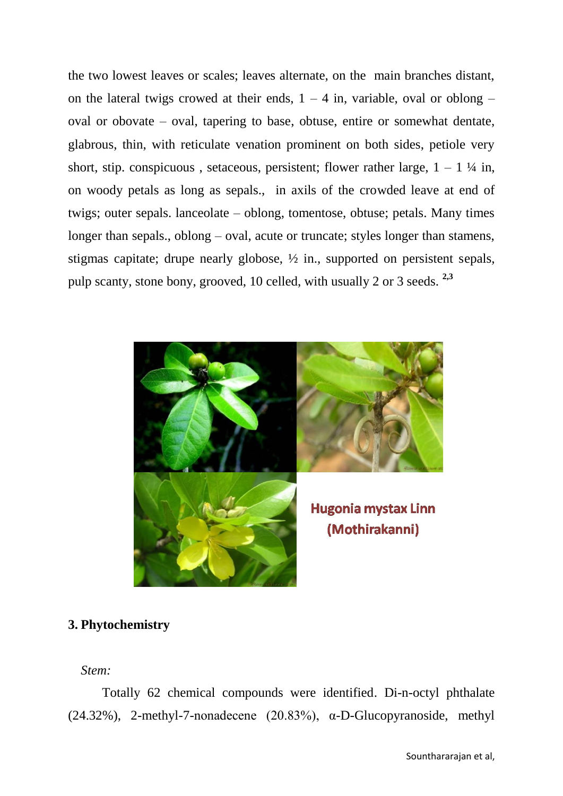the two lowest leaves or scales; leaves alternate, on the main branches distant, on the lateral twigs crowed at their ends,  $1 - 4$  in, variable, oval or oblong – oval or obovate – oval, tapering to base, obtuse, entire or somewhat dentate, glabrous, thin, with reticulate venation prominent on both sides, petiole very short, stip. conspicuous, setaceous, persistent; flower rather large,  $1 - 1\frac{1}{4}$  in, on woody petals as long as sepals., in axils of the crowded leave at end of twigs; outer sepals. lanceolate – oblong, tomentose, obtuse; petals. Many times longer than sepals., oblong – oval, acute or truncate; styles longer than stamens, stigmas capitate; drupe nearly globose, ½ in., supported on persistent sepals, pulp scanty, stone bony, grooved, 10 celled, with usually 2 or 3 seeds. **2,3**



# **3. Phytochemistry**

*Stem:* 

Totally 62 chemical compounds were identified. Di-n-octyl phthalate (24.32%), 2-methyl-7-nonadecene (20.83%), α-D-Glucopyranoside, methyl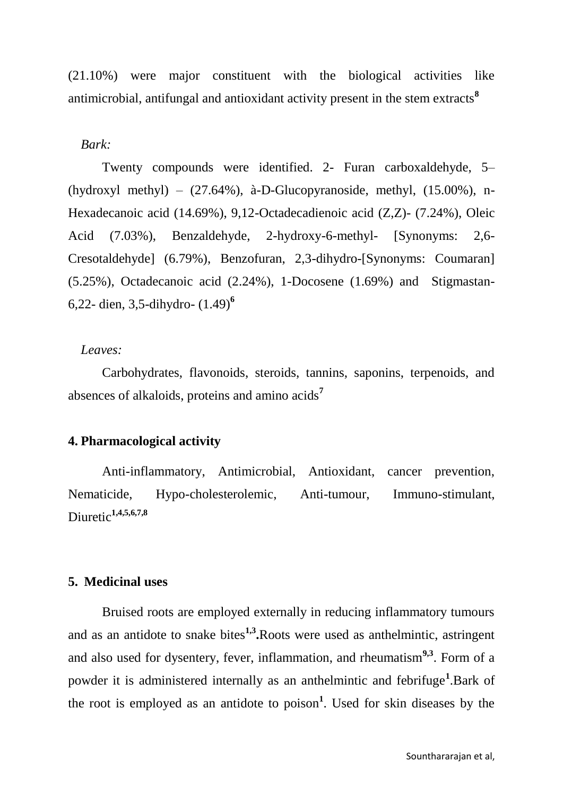(21.10%) were major constituent with the biological activities like antimicrobial, antifungal and antioxidant activity present in the stem extracts<sup>8</sup>

#### *Bark:*

Twenty compounds were identified. 2- Furan carboxaldehyde, 5– (hydroxyl methyl) – (27.64%), à-D-Glucopyranoside, methyl, (15.00%), n-Hexadecanoic acid (14.69%), 9,12-Octadecadienoic acid (Z,Z)- (7.24%), Oleic Acid (7.03%), Benzaldehyde, 2-hydroxy-6-methyl- [Synonyms: 2,6- Cresotaldehyde] (6.79%), Benzofuran, 2,3-dihydro-[Synonyms: Coumaran] (5.25%), Octadecanoic acid (2.24%), 1-Docosene (1.69%) and Stigmastan-6,22- dien, 3,5-dihydro- (1.49)**<sup>6</sup>**

## *Leaves:*

Carbohydrates, flavonoids, steroids, tannins, saponins, terpenoids, and absences of alkaloids, proteins and amino acids**<sup>7</sup>**

## **4. Pharmacological activity**

Anti-inflammatory, Antimicrobial, Antioxidant, cancer prevention, Nematicide, Hypo-cholesterolemic, Anti-tumour, Immuno-stimulant, Diuretic**1,4,5,6,7,8**

#### **5. Medicinal uses**

Bruised roots are employed externally in reducing inflammatory tumours and as an antidote to snake bites<sup>1,3</sup>. Roots were used as anthelmintic, astringent and also used for dysentery, fever, inflammation, and rheumatism**9,3**. Form of a powder it is administered internally as an anthelmintic and febrifuge**<sup>1</sup>** .Bark of the root is employed as an antidote to poison**<sup>1</sup>** . Used for skin diseases by the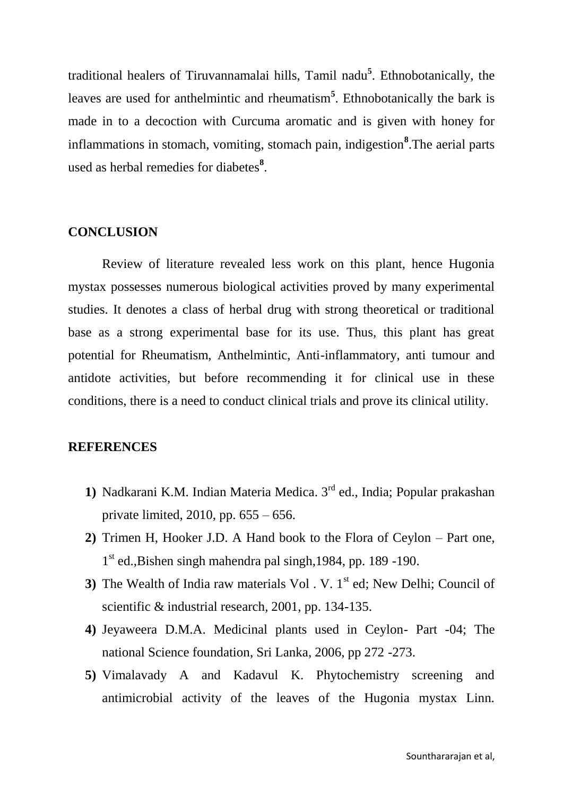traditional healers of Tiruvannamalai hills, Tamil nadu**<sup>5</sup>** . Ethnobotanically, the leaves are used for anthelmintic and rheumatism**<sup>5</sup>** . Ethnobotanically the bark is made in to a decoction with Curcuma aromatic and is given with honey for inflammations in stomach, vomiting, stomach pain, indigestion**<sup>8</sup>** .The aerial parts used as herbal remedies for diabetes**<sup>8</sup>** .

#### **CONCLUSION**

Review of literature revealed less work on this plant, hence Hugonia mystax possesses numerous biological activities proved by many experimental studies. It denotes a class of herbal drug with strong theoretical or traditional base as a strong experimental base for its use. Thus, this plant has great potential for Rheumatism, Anthelmintic, Anti-inflammatory, anti tumour and antidote activities, but before recommending it for clinical use in these conditions, there is a need to conduct clinical trials and prove its clinical utility.

## **REFERENCES**

- **1)** Nadkarani K.M. Indian Materia Medica. 3rd ed., India; Popular prakashan private limited, 2010, pp. 655 – 656.
- **2)** Trimen H, Hooker J.D. A Hand book to the Flora of Ceylon Part one, 1<sup>st</sup> ed., Bishen singh mahendra pal singh, 1984, pp. 189 -190.
- **3**) The Wealth of India raw materials Vol . V. 1<sup>st</sup> ed; New Delhi; Council of scientific & industrial research, 2001, pp. 134-135.
- **4)** Jeyaweera D.M.A. Medicinal plants used in Ceylon- Part -04; The national Science foundation, Sri Lanka, 2006, pp 272 -273.
- **5)** Vimalavady A and Kadavul K. Phytochemistry screening and antimicrobial activity of the leaves of the Hugonia mystax Linn.